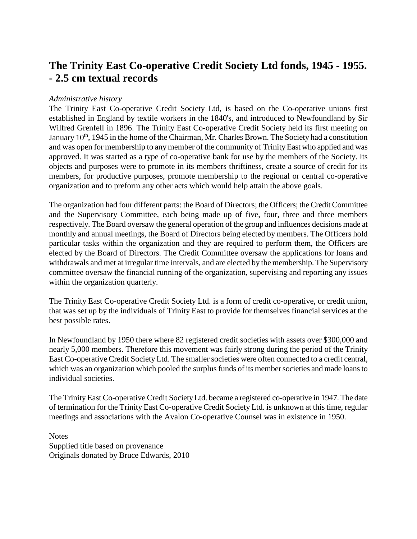# **The Trinity East Co-operative Credit Society Ltd fonds, 1945 - 1955. - 2.5 cm textual records**

#### *Administrative history*

The Trinity East Co-operative Credit Society Ltd, is based on the Co-operative unions first established in England by textile workers in the 1840's, and introduced to Newfoundland by Sir Wilfred Grenfell in 1896. The Trinity East Co-operative Credit Society held its first meeting on January 10<sup>th</sup>, 1945 in the home of the Chairman, Mr. Charles Brown. The Society had a constitution and was open for membership to any member of the community of Trinity East who applied and was approved. It was started as a type of co-operative bank for use by the members of the Society. Its objects and purposes were to promote in its members thriftiness, create a source of credit for its members, for productive purposes, promote membership to the regional or central co-operative organization and to preform any other acts which would help attain the above goals.

The organization had four different parts: the Board of Directors; the Officers; the Credit Committee and the Supervisory Committee, each being made up of five, four, three and three members respectively. The Board oversaw the general operation of the group and influences decisions made at monthly and annual meetings, the Board of Directors being elected by members. The Officers hold particular tasks within the organization and they are required to perform them, the Officers are elected by the Board of Directors. The Credit Committee oversaw the applications for loans and withdrawals and met at irregular time intervals, and are elected by the membership. The Supervisory committee oversaw the financial running of the organization, supervising and reporting any issues within the organization quarterly.

The Trinity East Co-operative Credit Society Ltd. is a form of credit co-operative, or credit union, that was set up by the individuals of Trinity East to provide for themselves financial services at the best possible rates.

In Newfoundland by 1950 there where 82 registered credit societies with assets over \$300,000 and nearly 5,000 members. Therefore this movement was fairly strong during the period of the Trinity East Co-operative Credit Society Ltd. The smaller societies were often connected to a credit central, which was an organization which pooled the surplus funds of its member societies and made loans to individual societies.

The Trinity East Co-operative Credit Society Ltd. became a registered co-operative in 1947. The date of termination for the Trinity East Co-operative Credit Society Ltd. is unknown at this time, regular meetings and associations with the Avalon Co-operative Counsel was in existence in 1950.

**Notes** Supplied title based on provenance Originals donated by Bruce Edwards, 2010